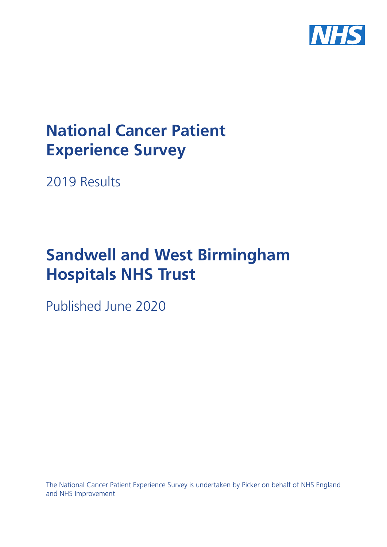

# **National Cancer Patient Experience Survey**

2019 Results

# **Sandwell and West Birmingham Hospitals NHS Trust**

Published June 2020

The National Cancer Patient Experience Survey is undertaken by Picker on behalf of NHS England and NHS Improvement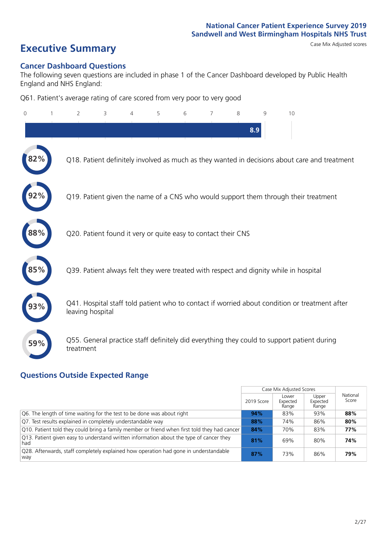# **Executive Summary** Case Mix Adjusted scores

#### **Cancer Dashboard Questions**

The following seven questions are included in phase 1 of the Cancer Dashboard developed by Public Health England and NHS England:

Q61. Patient's average rating of care scored from very poor to very good

| 0   | $\overline{2}$   | 3                                                             | 4 | 5 | 6 | 7 | 8 | 9   | 10                                                                                            |  |
|-----|------------------|---------------------------------------------------------------|---|---|---|---|---|-----|-----------------------------------------------------------------------------------------------|--|
|     |                  |                                                               |   |   |   |   |   | 8.9 |                                                                                               |  |
| 82% |                  |                                                               |   |   |   |   |   |     | Q18. Patient definitely involved as much as they wanted in decisions about care and treatment |  |
|     |                  |                                                               |   |   |   |   |   |     | Q19. Patient given the name of a CNS who would support them through their treatment           |  |
| 88% |                  | Q20. Patient found it very or quite easy to contact their CNS |   |   |   |   |   |     |                                                                                               |  |
| 85% |                  |                                                               |   |   |   |   |   |     | Q39. Patient always felt they were treated with respect and dignity while in hospital         |  |
| 93% | leaving hospital |                                                               |   |   |   |   |   |     | Q41. Hospital staff told patient who to contact if worried about condition or treatment after |  |
| 59% | treatment        |                                                               |   |   |   |   |   |     | Q55. General practice staff definitely did everything they could to support patient during    |  |

### **Questions Outside Expected Range**

|                                                                                                |            | Case Mix Adjusted Scores   |                            |                   |
|------------------------------------------------------------------------------------------------|------------|----------------------------|----------------------------|-------------------|
|                                                                                                | 2019 Score | Lower<br>Expected<br>Range | Upper<br>Expected<br>Range | National<br>Score |
| Q6. The length of time waiting for the test to be done was about right                         | 94%        | 83%                        | 93%                        | 88%               |
| Q7. Test results explained in completely understandable way                                    | 88%        | 74%                        | 86%                        | 80%               |
| Q10. Patient told they could bring a family member or friend when first told they had cancer   | 84%        | 70%                        | 83%                        | 77%               |
| Q13. Patient given easy to understand written information about the type of cancer they<br>had | 81%        | 69%                        | 80%                        | 74%               |
| Q28. Afterwards, staff completely explained how operation had gone in understandable<br>way    | 87%        | 73%                        | 86%                        | 79%               |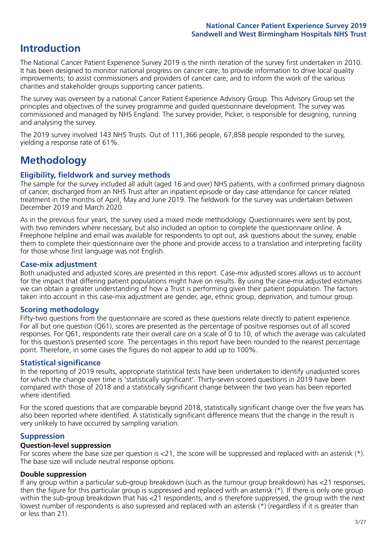# **Introduction**

The National Cancer Patient Experience Survey 2019 is the ninth iteration of the survey first undertaken in 2010. It has been designed to monitor national progress on cancer care; to provide information to drive local quality improvements; to assist commissioners and providers of cancer care; and to inform the work of the various charities and stakeholder groups supporting cancer patients.

The survey was overseen by a national Cancer Patient Experience Advisory Group. This Advisory Group set the principles and objectives of the survey programme and guided questionnaire development. The survey was commissioned and managed by NHS England. The survey provider, Picker, is responsible for designing, running and analysing the survey.

The 2019 survey involved 143 NHS Trusts. Out of 111,366 people, 67,858 people responded to the survey, yielding a response rate of 61%.

# **Methodology**

#### **Eligibility, eldwork and survey methods**

The sample for the survey included all adult (aged 16 and over) NHS patients, with a confirmed primary diagnosis of cancer, discharged from an NHS Trust after an inpatient episode or day case attendance for cancer related treatment in the months of April, May and June 2019. The fieldwork for the survey was undertaken between December 2019 and March 2020.

As in the previous four years, the survey used a mixed mode methodology. Questionnaires were sent by post, with two reminders where necessary, but also included an option to complete the questionnaire online. A Freephone helpline and email was available for respondents to opt out, ask questions about the survey, enable them to complete their questionnaire over the phone and provide access to a translation and interpreting facility for those whose first language was not English.

#### **Case-mix adjustment**

Both unadjusted and adjusted scores are presented in this report. Case-mix adjusted scores allows us to account for the impact that differing patient populations might have on results. By using the case-mix adjusted estimates we can obtain a greater understanding of how a Trust is performing given their patient population. The factors taken into account in this case-mix adjustment are gender, age, ethnic group, deprivation, and tumour group.

#### **Scoring methodology**

Fifty-two questions from the questionnaire are scored as these questions relate directly to patient experience. For all but one question (Q61), scores are presented as the percentage of positive responses out of all scored responses. For Q61, respondents rate their overall care on a scale of 0 to 10, of which the average was calculated for this question's presented score. The percentages in this report have been rounded to the nearest percentage point. Therefore, in some cases the figures do not appear to add up to 100%.

#### **Statistical significance**

In the reporting of 2019 results, appropriate statistical tests have been undertaken to identify unadjusted scores for which the change over time is 'statistically significant'. Thirty-seven scored questions in 2019 have been compared with those of 2018 and a statistically significant change between the two years has been reported where identified.

For the scored questions that are comparable beyond 2018, statistically significant change over the five years has also been reported where identified. A statistically significant difference means that the change in the result is very unlikely to have occurred by sampling variation.

#### **Suppression**

#### **Question-level suppression**

For scores where the base size per question is  $<$ 21, the score will be suppressed and replaced with an asterisk (\*). The base size will include neutral response options.

#### **Double suppression**

If any group within a particular sub-group breakdown (such as the tumour group breakdown) has <21 responses, then the figure for this particular group is suppressed and replaced with an asterisk (\*). If there is only one group within the sub-group breakdown that has <21 respondents, and is therefore suppressed, the group with the next lowest number of respondents is also supressed and replaced with an asterisk (\*) (regardless if it is greater than or less than 21).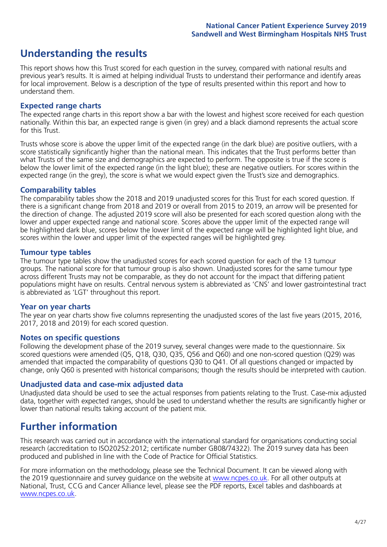# **Understanding the results**

This report shows how this Trust scored for each question in the survey, compared with national results and previous year's results. It is aimed at helping individual Trusts to understand their performance and identify areas for local improvement. Below is a description of the type of results presented within this report and how to understand them.

#### **Expected range charts**

The expected range charts in this report show a bar with the lowest and highest score received for each question nationally. Within this bar, an expected range is given (in grey) and a black diamond represents the actual score for this Trust.

Trusts whose score is above the upper limit of the expected range (in the dark blue) are positive outliers, with a score statistically significantly higher than the national mean. This indicates that the Trust performs better than what Trusts of the same size and demographics are expected to perform. The opposite is true if the score is below the lower limit of the expected range (in the light blue); these are negative outliers. For scores within the expected range (in the grey), the score is what we would expect given the Trust's size and demographics.

#### **Comparability tables**

The comparability tables show the 2018 and 2019 unadjusted scores for this Trust for each scored question. If there is a significant change from 2018 and 2019 or overall from 2015 to 2019, an arrow will be presented for the direction of change. The adjusted 2019 score will also be presented for each scored question along with the lower and upper expected range and national score. Scores above the upper limit of the expected range will be highlighted dark blue, scores below the lower limit of the expected range will be highlighted light blue, and scores within the lower and upper limit of the expected ranges will be highlighted grey.

#### **Tumour type tables**

The tumour type tables show the unadjusted scores for each scored question for each of the 13 tumour groups. The national score for that tumour group is also shown. Unadjusted scores for the same tumour type across different Trusts may not be comparable, as they do not account for the impact that differing patient populations might have on results. Central nervous system is abbreviated as 'CNS' and lower gastrointestinal tract is abbreviated as 'LGT' throughout this report.

#### **Year on year charts**

The year on year charts show five columns representing the unadjusted scores of the last five years (2015, 2016, 2017, 2018 and 2019) for each scored question.

#### **Notes on specific questions**

Following the development phase of the 2019 survey, several changes were made to the questionnaire. Six scored questions were amended (Q5, Q18, Q30, Q35, Q56 and Q60) and one non-scored question (Q29) was amended that impacted the comparability of questions Q30 to Q41. Of all questions changed or impacted by change, only Q60 is presented with historical comparisons; though the results should be interpreted with caution.

#### **Unadjusted data and case-mix adjusted data**

Unadjusted data should be used to see the actual responses from patients relating to the Trust. Case-mix adjusted data, together with expected ranges, should be used to understand whether the results are significantly higher or lower than national results taking account of the patient mix.

### **Further information**

This research was carried out in accordance with the international standard for organisations conducting social research (accreditation to ISO20252:2012; certificate number GB08/74322). The 2019 survey data has been produced and published in line with the Code of Practice for Official Statistics.

For more information on the methodology, please see the Technical Document. It can be viewed along with the 2019 questionnaire and survey quidance on the website at [www.ncpes.co.uk](https://www.ncpes.co.uk/supporting-documents). For all other outputs at National, Trust, CCG and Cancer Alliance level, please see the PDF reports, Excel tables and dashboards at [www.ncpes.co.uk.](https://www.ncpes.co.uk/current-results)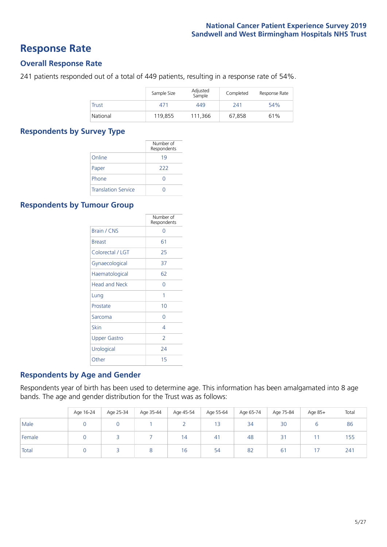### **Response Rate**

#### **Overall Response Rate**

241 patients responded out of a total of 449 patients, resulting in a response rate of 54%.

|              | Sample Size | Adjusted<br>Sample | Completed | Response Rate |
|--------------|-------------|--------------------|-----------|---------------|
| <b>Trust</b> | 471         | 449                | 241       | 54%           |
| National     | 119,855     | 111.366            | 67,858    | 61%           |

#### **Respondents by Survey Type**

|                            | Number of<br>Respondents |
|----------------------------|--------------------------|
| Online                     | 19                       |
| Paper                      | 222                      |
| Phone                      |                          |
| <b>Translation Service</b> |                          |

#### **Respondents by Tumour Group**

|                      | Number of<br>Respondents |
|----------------------|--------------------------|
| <b>Brain / CNS</b>   | ∩                        |
| <b>Breast</b>        | 61                       |
| Colorectal / LGT     | 25                       |
| Gynaecological       | 37                       |
| Haematological       | 62                       |
| <b>Head and Neck</b> | U                        |
| Lung                 | 1                        |
| Prostate             | 10                       |
| Sarcoma              | Ω                        |
| Skin                 | 4                        |
| <b>Upper Gastro</b>  | $\overline{\phantom{0}}$ |
| Urological           | 24                       |
| Other                | 15                       |

#### **Respondents by Age and Gender**

Respondents year of birth has been used to determine age. This information has been amalgamated into 8 age bands. The age and gender distribution for the Trust was as follows:

|        | Age 16-24 | Age 25-34 | Age 35-44 | Age 45-54 | Age 55-64 | Age 65-74 | Age 75-84   | Age 85+ | Total |
|--------|-----------|-----------|-----------|-----------|-----------|-----------|-------------|---------|-------|
| Male   |           |           |           |           | 13        | 34        | 30          |         | 86    |
| Female |           |           |           | 14        | 41        | 48        | $\sim$<br>ے |         | 155   |
| Total  |           |           |           | 16        | 54        | 82        | $6^{\circ}$ |         | 241   |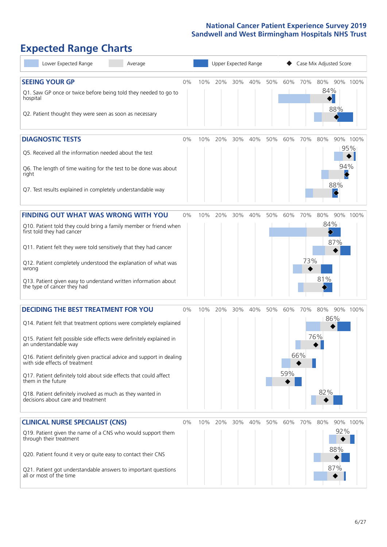# **Expected Range Charts**

| Lower Expected Range<br>Average                                                                                                                                                                                                                                                                                                                                                                                                                                                                                             |    |     | Upper Expected Range |     |     | Case Mix Adjusted Score |            |            |                   |                          |                 |  |
|-----------------------------------------------------------------------------------------------------------------------------------------------------------------------------------------------------------------------------------------------------------------------------------------------------------------------------------------------------------------------------------------------------------------------------------------------------------------------------------------------------------------------------|----|-----|----------------------|-----|-----|-------------------------|------------|------------|-------------------|--------------------------|-----------------|--|
| <b>SEEING YOUR GP</b><br>Q1. Saw GP once or twice before being told they needed to go to<br>hospital<br>Q2. Patient thought they were seen as soon as necessary                                                                                                                                                                                                                                                                                                                                                             | 0% | 10% | 20%                  | 30% | 40% | 50%                     | 60%        | 70%        | 80%<br>84%        | 90% 100%<br>88%          |                 |  |
| <b>DIAGNOSTIC TESTS</b><br>Q5. Received all the information needed about the test<br>Q6. The length of time waiting for the test to be done was about<br>right<br>Q7. Test results explained in completely understandable way                                                                                                                                                                                                                                                                                               | 0% | 10% | 20%                  | 30% | 40% | 50%                     | 60%        | 70%        | 80%               | 94%<br>88%<br>$\Diamond$ | 90% 100%<br>95% |  |
| <b>FINDING OUT WHAT WAS WRONG WITH YOU</b><br>Q10. Patient told they could bring a family member or friend when<br>first told they had cancer<br>Q11. Patient felt they were told sensitively that they had cancer<br>Q12. Patient completely understood the explanation of what was<br>wrong<br>Q13. Patient given easy to understand written information about<br>the type of cancer they had                                                                                                                             | 0% | 10% | 20%                  | 30% | 40% | 50%                     | 60%        | 70%<br>73% | 80%<br>84%<br>81% | 87%                      | 90% 100%        |  |
| <b>DECIDING THE BEST TREATMENT FOR YOU</b><br>Q14. Patient felt that treatment options were completely explained<br>Q15. Patient felt possible side effects were definitely explained in<br>an understandable way<br>Q16. Patient definitely given practical advice and support in dealing<br>with side effects of treatment<br>Q17. Patient definitely told about side effects that could affect<br>them in the future<br>Q18. Patient definitely involved as much as they wanted in<br>decisions about care and treatment | 0% | 10% | 20%                  | 30% | 40% | 50%                     | 60%<br>59% | 70%<br>66% | 80%<br>76%<br>82% | 90% 100%<br>86%          |                 |  |
| <b>CLINICAL NURSE SPECIALIST (CNS)</b><br>Q19. Patient given the name of a CNS who would support them<br>through their treatment<br>Q20. Patient found it very or quite easy to contact their CNS<br>Q21. Patient got understandable answers to important questions<br>all or most of the time                                                                                                                                                                                                                              | 0% | 10% | 20%                  | 30% | 40% | 50%                     | 60%        | 70%        | 80%               | 92%<br>88%<br>87%        | 90% 100%        |  |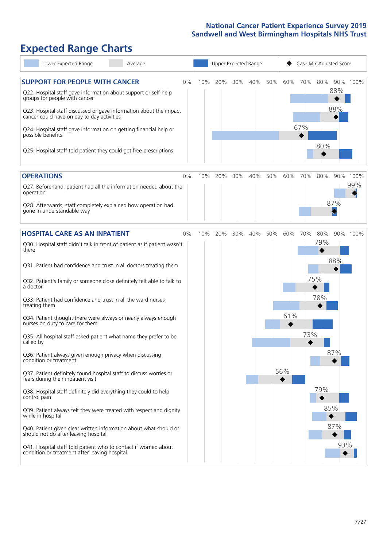# **Expected Range Charts**

| Lower Expected Range<br>Average                                                                                   |     | Upper Expected Range |     |     |     |     |     | Case Mix Adjusted Score |     |     |          |  |
|-------------------------------------------------------------------------------------------------------------------|-----|----------------------|-----|-----|-----|-----|-----|-------------------------|-----|-----|----------|--|
| <b>SUPPORT FOR PEOPLE WITH CANCER</b><br>0%                                                                       | 10% |                      | 20% | 30% | 40% | 50% | 60% | 70%                     | 80% |     | 90% 100% |  |
| Q22. Hospital staff gave information about support or self-help<br>groups for people with cancer                  |     |                      |     |     |     |     |     |                         |     | 88% |          |  |
| Q23. Hospital staff discussed or gave information about the impact<br>cancer could have on day to day activities  |     |                      |     |     |     |     |     |                         |     | 88% |          |  |
| Q24. Hospital staff gave information on getting financial help or<br>possible benefits                            |     |                      |     |     |     |     |     | 67%                     |     |     |          |  |
| Q25. Hospital staff told patient they could get free prescriptions                                                |     |                      |     |     |     |     |     |                         | 80% |     |          |  |
| <b>OPERATIONS</b><br>0%                                                                                           | 10% |                      | 20% | 30% | 40% | 50% | 60% | 70%                     | 80% |     | 90% 100% |  |
| Q27. Beforehand, patient had all the information needed about the<br>operation                                    |     |                      |     |     |     |     |     |                         |     |     | 99%      |  |
| Q28. Afterwards, staff completely explained how operation had<br>gone in understandable way                       |     |                      |     |     |     |     |     |                         |     | 87% |          |  |
| <b>HOSPITAL CARE AS AN INPATIENT</b><br>0%                                                                        | 10% |                      | 20% | 30% | 40% | 50% | 60% | 70%                     | 80% |     | 90% 100% |  |
| Q30. Hospital staff didn't talk in front of patient as if patient wasn't<br>there                                 |     |                      |     |     |     |     |     |                         | 79% |     |          |  |
| Q31. Patient had confidence and trust in all doctors treating them                                                |     |                      |     |     |     |     |     |                         |     | 88% |          |  |
| Q32. Patient's family or someone close definitely felt able to talk to<br>a doctor                                |     |                      |     |     |     |     |     |                         | 75% |     |          |  |
| Q33. Patient had confidence and trust in all the ward nurses<br>treating them                                     |     |                      |     |     |     |     |     |                         | 78% |     |          |  |
| Q34. Patient thought there were always or nearly always enough<br>nurses on duty to care for them                 |     |                      |     |     |     |     | 61% |                         |     |     |          |  |
| Q35. All hospital staff asked patient what name they prefer to be<br>called by                                    |     |                      |     |     |     |     |     | 73%                     |     |     |          |  |
| Q36. Patient always given enough privacy when discussing<br>condition or treatment                                |     |                      |     |     |     |     |     |                         |     | 87% |          |  |
| Q37. Patient definitely found hospital staff to discuss worries or<br>fears during their inpatient visit          |     |                      |     |     |     |     | 56% |                         |     |     |          |  |
| Q38. Hospital staff definitely did everything they could to help<br>control pain                                  |     |                      |     |     |     |     |     |                         | 79% |     |          |  |
| Q39. Patient always felt they were treated with respect and dignity<br>while in hospital                          |     |                      |     |     |     |     |     |                         | 85% |     |          |  |
| Q40. Patient given clear written information about what should or<br>should not do after leaving hospital         |     |                      |     |     |     |     |     |                         |     | 87% |          |  |
| Q41. Hospital staff told patient who to contact if worried about<br>condition or treatment after leaving hospital |     |                      |     |     |     |     |     |                         |     | 93% |          |  |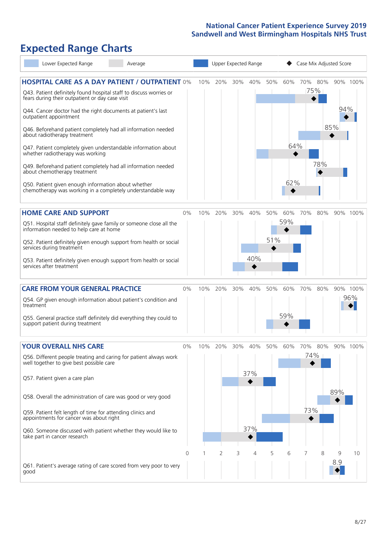# **Expected Range Charts**

| Lower Expected Range                                                                                                                                                           | Average |          |     | Upper Expected Range |     | Case Mix Adjusted Score |     |     |     |                |     |          |
|--------------------------------------------------------------------------------------------------------------------------------------------------------------------------------|---------|----------|-----|----------------------|-----|-------------------------|-----|-----|-----|----------------|-----|----------|
| <b>HOSPITAL CARE AS A DAY PATIENT / OUTPATIENT 0%</b><br>Q43. Patient definitely found hospital staff to discuss worries or<br>fears during their outpatient or day case visit |         |          | 10% | 20%                  | 30% | 40%                     | 50% | 60% |     | 70% 80%<br>75% |     | 90% 100% |
| Q44. Cancer doctor had the right documents at patient's last<br>outpatient appointment                                                                                         |         |          |     |                      |     |                         |     |     |     |                | 94% |          |
| Q46. Beforehand patient completely had all information needed<br>about radiotherapy treatment                                                                                  |         |          |     |                      |     |                         |     |     |     |                | 85% |          |
| Q47. Patient completely given understandable information about<br>whether radiotherapy was working                                                                             |         |          |     |                      |     |                         |     | 64% |     |                |     |          |
| Q49. Beforehand patient completely had all information needed<br>about chemotherapy treatment                                                                                  |         |          |     |                      |     |                         |     |     |     | 78%            |     |          |
| Q50. Patient given enough information about whether<br>chemotherapy was working in a completely understandable way                                                             |         |          |     |                      |     |                         |     | 62% |     |                |     |          |
| <b>HOME CARE AND SUPPORT</b>                                                                                                                                                   |         | 0%       | 10% | 20%                  | 30% | 40%                     | 50% | 60% | 70% | 80%            |     | 90% 100% |
| Q51. Hospital staff definitely gave family or someone close all the<br>information needed to help care at home                                                                 |         |          |     |                      |     |                         |     | 59% |     |                |     |          |
| Q52. Patient definitely given enough support from health or social<br>services during treatment                                                                                |         |          |     |                      |     |                         | 51% |     |     |                |     |          |
| Q53. Patient definitely given enough support from health or social<br>services after treatment                                                                                 |         |          |     |                      |     | 40%                     |     |     |     |                |     |          |
| <b>CARE FROM YOUR GENERAL PRACTICE</b>                                                                                                                                         |         | 0%       | 10% | 20%                  | 30% | 40%                     | 50% | 60% | 70% | 80%            |     | 90% 100% |
| Q54. GP given enough information about patient's condition and<br>treatment                                                                                                    |         |          |     |                      |     |                         |     |     |     |                |     | 96%      |
| Q55. General practice staff definitely did everything they could to<br>support patient during treatment                                                                        |         |          |     |                      |     |                         |     | 59% |     |                |     |          |
| <b>YOUR OVERALL NHS CARE</b>                                                                                                                                                   |         | $0\%$    | 10% | 20%                  | 30% | 40%                     | 50% | 60% | 70% | 80%            |     | 90% 100% |
| Q56. Different people treating and caring for patient always work<br>well together to give best possible care                                                                  |         |          |     |                      |     |                         |     |     | 74% |                |     |          |
| Q57. Patient given a care plan                                                                                                                                                 |         |          |     |                      |     | 37%                     |     |     |     |                |     |          |
| Q58. Overall the administration of care was good or very good                                                                                                                  |         |          |     |                      |     |                         |     |     |     |                | 89% |          |
| Q59. Patient felt length of time for attending clinics and<br>appointments for cancer was about right                                                                          |         |          |     |                      |     |                         |     |     | 73% |                |     |          |
| Q60. Someone discussed with patient whether they would like to<br>take part in cancer research                                                                                 |         |          |     |                      |     | 37%                     |     |     |     |                |     |          |
|                                                                                                                                                                                |         | $\Omega$ |     | 2                    | 3   | 4                       | 5   | 6   | 7   | 8              | 9   | 10       |
| Q61. Patient's average rating of care scored from very poor to very<br>good                                                                                                    |         |          |     |                      |     |                         |     |     |     |                | 8.9 |          |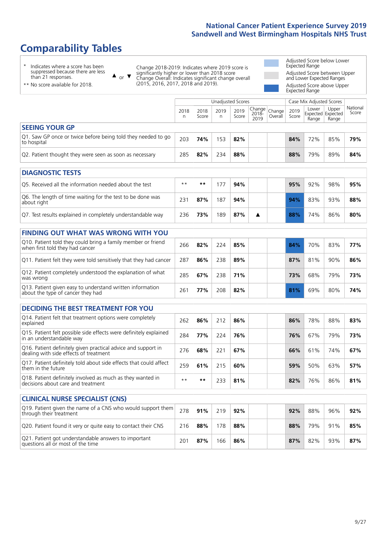# **Comparability Tables**

\* Indicates where a score has been suppressed because there are less than 21 responses.

\*\* No score available for 2018.

 $\triangle$  or  $\nabla$ 

Change 2018-2019: Indicates where 2019 score is significantly higher or lower than 2018 score Change Overall: Indicates significant change overall (2015, 2016, 2017, 2018 and 2019).

Adjusted Score below Lower Expected Range Adjusted Score between Upper and Lower Expected Ranges Adjusted Score above Upper Expected Range

|                                                                             |           |               | Unadjusted Scores |               |                         |                   |               | Case Mix Adjusted Scores |                                     |                   |
|-----------------------------------------------------------------------------|-----------|---------------|-------------------|---------------|-------------------------|-------------------|---------------|--------------------------|-------------------------------------|-------------------|
|                                                                             | 2018<br>n | 2018<br>Score | 2019<br>n         | 2019<br>Score | Change<br>2018-<br>2019 | Change<br>Overall | 2019<br>Score | Lower<br>Range           | Upper<br>Expected Expected<br>Range | National<br>Score |
| <b>SEEING YOUR GP</b>                                                       |           |               |                   |               |                         |                   |               |                          |                                     |                   |
| Q1. Saw GP once or twice before being told they needed to go<br>to hospital | 203       | 74%           | 153               | 82%           |                         |                   | 84%           | 72%                      | 85%                                 | 79%               |
| Q2. Patient thought they were seen as soon as necessary                     | 285       | 82%           | 234               | 88%           |                         |                   | 88%           | 79%                      | 89%                                 | 84%               |
| <b>DIAGNOSTIC TESTS</b>                                                     |           |               |                   |               |                         |                   |               |                          |                                     |                   |

| Q5. Received all the information needed about the test                    | $**$ | **  |     | 94% |  | 95% | 92% | 98% | 95% |
|---------------------------------------------------------------------------|------|-----|-----|-----|--|-----|-----|-----|-----|
| Q6. The length of time waiting for the test to be done was<br>about right | 231  | 87% | 187 | 94% |  | 94% | 83% | 93% | 88% |
| Q7. Test results explained in completely understandable way               | 236  | 73% | 189 | 87% |  | 88% | 74% | 86% | 80% |

| <b>FINDING OUT WHAT WAS WRONG WITH YOU</b>                                                      |              |     |     |     |     |     |     |     |
|-------------------------------------------------------------------------------------------------|--------------|-----|-----|-----|-----|-----|-----|-----|
| Q10. Patient told they could bring a family member or friend<br>when first told they had cancer | 266          | 82% | 224 | 85% | 84% | 70% | 83% | 77% |
| Q11. Patient felt they were told sensitively that they had cancer                               | 287          | 86% | 238 | 89% | 87% | 81% | 90% | 86% |
| Q12. Patient completely understood the explanation of what<br>was wrong                         | 285          | 67% | 238 | 71% | 73% | 68% | 79% | 73% |
| Q13. Patient given easy to understand written information<br>about the type of cancer they had  | $26^{\circ}$ | 77% | 208 | 82% | 81% | 69% | 80% | 74% |

| <b>DECIDING THE BEST TREATMENT FOR YOU</b>                                                           |      |      |     |     |     |     |     |     |
|------------------------------------------------------------------------------------------------------|------|------|-----|-----|-----|-----|-----|-----|
| Q14. Patient felt that treatment options were completely<br>explained                                | 262  | 86%  | 212 | 86% | 86% | 78% | 88% | 83% |
| Q15. Patient felt possible side effects were definitely explained<br>in an understandable way        | 284  | 77%  | 224 | 76% | 76% | 67% | 79% | 73% |
| Q16. Patient definitely given practical advice and support in dealing with side effects of treatment | 276  | 68%  | 221 | 67% | 66% | 61% | 74% | 67% |
| Q17. Patient definitely told about side effects that could affect<br>them in the future              | 259  | 61%  | 215 | 60% | 59% | 50% | 63% | 57% |
| Q18. Patient definitely involved as much as they wanted in<br>decisions about care and treatment     | $**$ | $**$ | 233 | 81% | 82% | 76% | 86% | 81% |

| <b>CLINICAL NURSE SPECIALIST (CNS)</b>                                                    |     |     |     |     |     |     |     |     |
|-------------------------------------------------------------------------------------------|-----|-----|-----|-----|-----|-----|-----|-----|
| Q19. Patient given the name of a CNS who would support them<br>through their treatment    | 278 | 91% | 219 | 92% | 92% | 88% | 96% | 92% |
| Q20. Patient found it very or quite easy to contact their CNS                             | 216 | 88% | 178 | 88% | 88% | 79% | 91% | 85% |
| Q21. Patient got understandable answers to important<br>questions all or most of the time | 20′ | 87% | 166 | 86% | 87% | 82% | 93% | 87% |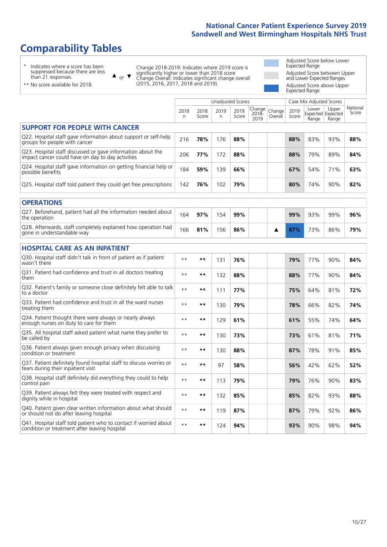# **Comparability Tables**

\* Indicates where a score has been suppressed because there are less than 21 responses.

\*\* No score available for 2018.

 $\triangle$  or  $\nabla$ 

Change 2018-2019: Indicates where 2019 score is significantly higher or lower than 2018 score Change Overall: Indicates significant change overall (2015, 2016, 2017, 2018 and 2019).

Adjusted Score below Lower Expected Range Adjusted Score between Upper and Lower Expected Ranges Adjusted Score above Upper Expected Range

|                                                                                                                   |              |               | <b>Unadjusted Scores</b> |               |                            |                   |               | Case Mix Adjusted Scores            |                |                   |
|-------------------------------------------------------------------------------------------------------------------|--------------|---------------|--------------------------|---------------|----------------------------|-------------------|---------------|-------------------------------------|----------------|-------------------|
|                                                                                                                   | 2018<br>n    | 2018<br>Score | 2019<br>n                | 2019<br>Score | Change<br>$2018 -$<br>2019 | Change<br>Overall | 2019<br>Score | Lower<br>Expected Expected<br>Range | Upper<br>Range | National<br>Score |
| <b>SUPPORT FOR PEOPLE WITH CANCER</b>                                                                             |              |               |                          |               |                            |                   |               |                                     |                |                   |
| Q22. Hospital staff gave information about support or self-help<br>groups for people with cancer                  | 216          | 78%           | 176                      | 88%           |                            |                   | 88%           | 83%                                 | 93%            | 88%               |
| Q23. Hospital staff discussed or gave information about the<br>impact cancer could have on day to day activities  | 206          | 77%           | 172                      | 88%           |                            |                   | 88%           | 79%                                 | 89%            | 84%               |
| Q24. Hospital staff gave information on getting financial help or<br>possible benefits                            | 184          | 59%           | 139                      | 66%           |                            |                   | 67%           | 54%                                 | 71%            | 63%               |
| Q25. Hospital staff told patient they could get free prescriptions                                                | 142          | 76%           | 102                      | 79%           |                            |                   | 80%           | 74%                                 | 90%            | 82%               |
| <b>OPERATIONS</b>                                                                                                 |              |               |                          |               |                            |                   |               |                                     |                |                   |
| Q27. Beforehand, patient had all the information needed about<br>the operation                                    | 164          | 97%           | 154                      | 99%           |                            |                   | 99%           | 93%                                 | 99%            | 96%               |
| Q28. Afterwards, staff completely explained how operation had<br>gone in understandable way                       | 166          | 81%           | 156                      | 86%           |                            | ▲                 | 87%           | 73%                                 | 86%            | 79%               |
| <b>HOSPITAL CARE AS AN INPATIENT</b>                                                                              |              |               |                          |               |                            |                   |               |                                     |                |                   |
| Q30. Hospital staff didn't talk in front of patient as if patient<br>wasn't there                                 | $* *$        | $***$         | 131                      | 76%           |                            |                   | 79%           | 77%                                 | 90%            | 84%               |
| Q31. Patient had confidence and trust in all doctors treating<br>them                                             | $\star\star$ | $**$          | 132                      | 88%           |                            |                   | 88%           | 77%                                 | 90%            | 84%               |
| Q32. Patient's family or someone close definitely felt able to talk<br>to a doctor                                | $* *$        | $***$         | 111                      | 77%           |                            |                   | 75%           | 64%                                 | 81%            | 72%               |
| Q33. Patient had confidence and trust in all the ward nurses<br>treating them                                     | $\star\star$ | $***$         | 130                      | 79%           |                            |                   | 78%           | 66%                                 | 82%            | 74%               |
| Q34. Patient thought there were always or nearly always<br>enough nurses on duty to care for them                 | $* *$        | $***$         | 129                      | 61%           |                            |                   | 61%           | 55%                                 | 74%            | 64%               |
| Q35. All hospital staff asked patient what name they prefer to<br>be called by                                    | $**$         | $***$         | 130                      | 73%           |                            |                   | 73%           | 61%                                 | 81%            | 71%               |
| Q36. Patient always given enough privacy when discussing<br>condition or treatment                                | $* *$        | $***$         | 130                      | 88%           |                            |                   | 87%           | 78%                                 | 91%            | 85%               |
| Q37. Patient definitely found hospital staff to discuss worries or<br>fears during their inpatient visit          | $\star\star$ | **            | 97                       | 58%           |                            |                   | 56%           | 42%                                 | 62%            | 52%               |
| Q38. Hospital staff definitely did everything they could to help<br>control pain                                  | $* *$        | $***$         | 113                      | 79%           |                            |                   | 79%           | 76%                                 | 90%            | 83%               |
| Q39. Patient always felt they were treated with respect and<br>dignity while in hospital                          | $\star\star$ | **            | 132                      | 85%           |                            |                   | 85%           | 82%                                 | 93%            | 88%               |
| Q40. Patient given clear written information about what should<br>or should not do after leaving hospital         | $**$         | $***$         | 119                      | 87%           |                            |                   | 87%           | 79%                                 | 92%            | 86%               |
| Q41. Hospital staff told patient who to contact if worried about<br>condition or treatment after leaving hospital | $**$         | **            | 124                      | 94%           |                            |                   | 93%           | 90%                                 | 98%            | 94%               |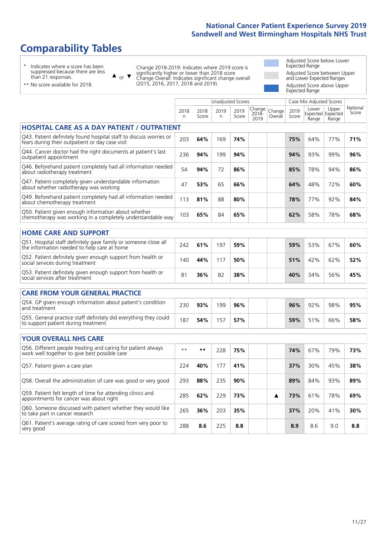# **Comparability Tables**

\* Indicates where a score has been suppressed because there are less than 21 responses.

\*\* No score available for 2018.

 $\triangle$  or  $\nabla$ 

Change 2018-2019: Indicates where 2019 score is significantly higher or lower than 2018 score Change Overall: Indicates significant change overall (2015, 2016, 2017, 2018 and 2019).

Adjusted Score below Lower Expected Range Adjusted Score between Upper and Lower Expected Ranges Adjusted Score above Upper Expected Range

|                                                                                                                       |              |               | <b>Unadjusted Scores</b> |               |                            |                   |               | Case Mix Adjusted Scores            |                |                   |
|-----------------------------------------------------------------------------------------------------------------------|--------------|---------------|--------------------------|---------------|----------------------------|-------------------|---------------|-------------------------------------|----------------|-------------------|
|                                                                                                                       | 2018<br>n.   | 2018<br>Score | 2019<br>n                | 2019<br>Score | Change<br>$2018 -$<br>2019 | Change<br>Overall | 2019<br>Score | Lower<br>Expected Expected<br>Range | Upper<br>Range | National<br>Score |
| <b>HOSPITAL CARE AS A DAY PATIENT / OUTPATIENT</b>                                                                    |              |               |                          |               |                            |                   |               |                                     |                |                   |
| Q43. Patient definitely found hospital staff to discuss worries or<br>fears during their outpatient or day case visit | 203          | 64%           | 169                      | 74%           |                            |                   | 75%           | 64%                                 | 77%            | 71%               |
| Q44. Cancer doctor had the right documents at patient's last<br>outpatient appointment                                | 236          | 94%           | 199                      | 94%           |                            |                   | 94%           | 93%                                 | 99%            | 96%               |
| Q46. Beforehand patient completely had all information needed<br>about radiotherapy treatment                         | 54           | 94%           | 72                       | 86%           |                            |                   | 85%           | 78%                                 | 94%            | 86%               |
| Q47. Patient completely given understandable information<br>about whether radiotherapy was working                    | 47           | 53%           | 65                       | 66%           |                            |                   | 64%           | 48%                                 | 72%            | 60%               |
| Q49. Beforehand patient completely had all information needed<br>about chemotherapy treatment                         | 113          | 81%           | 88                       | 80%           |                            |                   | 78%           | 77%                                 | 92%            | 84%               |
| Q50. Patient given enough information about whether<br>chemotherapy was working in a completely understandable way    | 103          | 65%           | 84                       | 65%           |                            |                   | 62%           | 58%                                 | 78%            | 68%               |
| <b>HOME CARE AND SUPPORT</b>                                                                                          |              |               |                          |               |                            |                   |               |                                     |                |                   |
| Q51. Hospital staff definitely gave family or someone close all<br>the information needed to help care at home        | 242          | 61%           | 197                      | 59%           |                            |                   | 59%           | 53%                                 | 67%            | 60%               |
| Q52. Patient definitely given enough support from health or<br>social services during treatment                       | 140          | 44%           | 117                      | 50%           |                            |                   | 51%           | 42%                                 | 62%            | 52%               |
| Q53. Patient definitely given enough support from health or<br>social services after treatment                        | 81           | 36%           | 82                       | 38%           |                            |                   | 40%           | 34%                                 | 56%            | 45%               |
| <b>CARE FROM YOUR GENERAL PRACTICE</b>                                                                                |              |               |                          |               |                            |                   |               |                                     |                |                   |
| Q54. GP given enough information about patient's condition<br>and treatment                                           | 230          | 93%           | 199                      | 96%           |                            |                   | 96%           | 92%                                 | 98%            | 95%               |
| Q55. General practice staff definitely did everything they could<br>to support patient during treatment               | 187          | 54%           | 157                      | 57%           |                            |                   | 59%           | 51%                                 | 66%            | 58%               |
| <b>YOUR OVERALL NHS CARE</b>                                                                                          |              |               |                          |               |                            |                   |               |                                     |                |                   |
| Q56. Different people treating and caring for patient always<br>work well together to give best possible care         | $\star\star$ | $***$         | 228                      | 75%           |                            |                   | 74%           | 67%                                 | 79%            | 73%               |
| Q57. Patient given a care plan                                                                                        | 224          | 40%           | 177                      | 41%           |                            |                   | 37%           | 30%                                 | 45%            | 38%               |
| Q58. Overall the administration of care was good or very good                                                         | 293          | 88%           | 235                      | 90%           |                            |                   | 89%           | 84%                                 | 93%            | 89%               |
| Q59. Patient felt length of time for attending clinics and<br>appointments for cancer was about right                 | 285          | 62%           | 229                      | 73%           |                            | ▲                 | 73%           | 61%                                 | 78%            | 69%               |
| Q60. Someone discussed with patient whether they would like<br>to take part in cancer research                        | 265          | 36%           | 203                      | 35%           |                            |                   | 37%           | 20%                                 | 41%            | 30%               |
| Q61. Patient's average rating of care scored from very poor to<br>very good                                           | 288          | 8.6           | 225                      | 8.8           |                            |                   | 8.9           | 8.6                                 | 9.0            | 8.8               |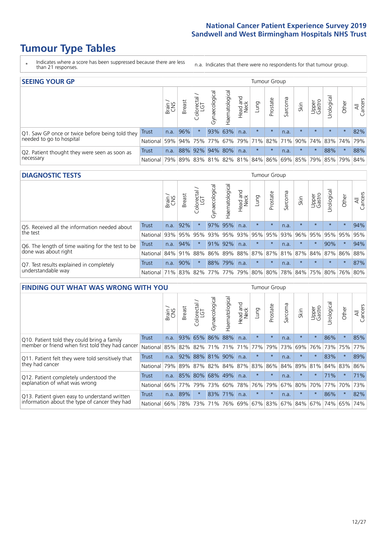- \* Indicates where a score has been suppressed because there are less than 21 responses.
- n.a. Indicates that there were no respondents for that tumour group.

| <b>SEEING YOUR GP</b>                           |            |               |               |                   |                |                |                  |                             | Tumour Group |         |         |                 |                                                 |         |                |
|-------------------------------------------------|------------|---------------|---------------|-------------------|----------------|----------------|------------------|-----------------------------|--------------|---------|---------|-----------------|-------------------------------------------------|---------|----------------|
|                                                 |            | Brain.<br>CNS | <b>Breast</b> | Colorectal<br>LGT | Gynaecological | Haematological | Head and<br>Neck | Lung                        | Prostate     | Sarcoma | Skin    | Upper<br>Gastro | $\overline{\sigma}$<br>Irologica                | Other   | All<br>Cancers |
| Q1. Saw GP once or twice before being told they | Trust      | n.a.          | 96%           |                   |                | 93% 63%        | n.a.             | $\star$                     | $\star$      | n.a.    | $\star$ | $\star$         | $\star$                                         | $\star$ | 82%            |
| needed to go to hospital                        | National I | 59%           |               |                   |                |                |                  | 94% 75% 77% 67% 79% 71% 82% |              |         |         |                 | 71% 90% 74% 83% 74%                             |         | 79%            |
| Q2. Patient thought they were seen as soon as   | Trust      | n.a.          |               | 88% 92% 94% 80%   |                |                | n.a.             | $\star$                     | $\star$      | n.a.    | $\star$ | $\star$         | 88%                                             | $\star$ | 88%            |
| necessary                                       | National I | 79%           |               |                   |                |                |                  |                             |              |         |         |                 | 89% 83% 81% 82% 81% 84% 86% 69% 85% 79% 85% 79% |         | 84%            |

#### **DIAGNOSTIC TESTS** Tumour Group

|                                                   |              | Brain | <b>Breast</b> | Colorectal | त्त<br>Gynaecologic | Haematological | Head and<br>Neck | Lung                        | Prostate | Sarcoma | Skin    | Upper<br>Gastro | Jrologica                               | Other   | All<br>Cancers |
|---------------------------------------------------|--------------|-------|---------------|------------|---------------------|----------------|------------------|-----------------------------|----------|---------|---------|-----------------|-----------------------------------------|---------|----------------|
| Q5. Received all the information needed about     | Trust        | n.a.  | 92%           |            |                     | 97% 95%        | n.a.             | $\star$                     | $\star$  | n.a.    |         | $\star$         | $\star$                                 | $\star$ | 94%            |
| the test                                          | National     | 93%   |               | 95% 95%    |                     | 93% 95%        |                  | 93% 95%                     | 95%      | 93%     | 96%     |                 | 95% 95% 95%                             |         | 95%            |
| Q6. The length of time waiting for the test to be | Trust        | n.a.  | 94%           |            |                     | 91% 92%        | n.a.             | $\star$                     | $\star$  | n.a.    | $\star$ | $\star$         | 90%                                     | $\star$ | 94%            |
| done was about right                              | National     |       | 84% 91%       | 88%        |                     |                |                  |                             |          |         |         |                 | 86% 89% 88% 87% 87% 81% 87% 84% 87% 86% |         | 88%            |
| Q7. Test results explained in completely          | Trust        | n.a.  | 90%           |            |                     | 88% 79%        | n.a.             | $\star$                     | $\star$  | n.a.    |         | $\star$         | $\star$                                 | $\star$ | 87%            |
| understandable way                                | National 71% |       |               |            |                     |                |                  | 83% 82% 77% 77% 79% 80% 80% |          |         |         |                 | 78% 84% 75% 80% 76% 80%                 |         |                |

| <b>FINDING OUT WHAT WAS WRONG WITH YOU</b>        |          |       |               |                        |                |                 |                             |         | Tumour Group |         |                             |                 |            |         |                |
|---------------------------------------------------|----------|-------|---------------|------------------------|----------------|-----------------|-----------------------------|---------|--------------|---------|-----------------------------|-----------------|------------|---------|----------------|
|                                                   |          | Brain | <b>Breast</b> | olorectal.<br>LGT<br>Û | Gynaecological | Haematological  | ad and<br>Neck<br>Head<br>E | Lung    | Prostate     | Sarcoma | Skin                        | Upper<br>Gastro | Urological | Other   | All<br>Cancers |
| Q10. Patient told they could bring a family       | Trust    | n.a.  | 93%           | 65%                    | 86%            | 88%             | n.a.                        | $\star$ | $\star$      | n.a.    | $\star$                     | $\star$         | 86%        | $\star$ | 85%            |
| member or friend when first told they had cancer  | National | 85%   |               | 82% 82%                | 71%            | 71%             | 71%                         | 77%     | 79%          | 73%     | 69%                         | 76%             | 73%        | 75%     | 77%            |
| Q11. Patient felt they were told sensitively that | Trust    | n.a.  | 92%           |                        | 88% 81%        | 90%             | n.a.                        | $\star$ | $\star$      | n.a.    |                             |                 | 83%        | $\ast$  | 89%            |
| they had cancer                                   | National | 79%   | 89% 87%       |                        |                | 82% 84% 87% 83% |                             |         | 86%          | 84%     | 89%                         | 81%             | 84% 83%    |         | 86%            |
| Q12. Patient completely understood the            | Trust    | n.a.  |               | 85% 80%                |                | 68% 49%         | n.a.                        | $\star$ | $\star$      | n.a.    | $\star$                     | $\star$         | 71%        | $\star$ | 71%            |
| explanation of what was wrong                     | National | 66%   | 77%           | 79%                    | 73%            | 60%             | 78%                         | 76%     | 79%          | 67%     | 80%                         | 70%             | 77%        | 70%     | 73%            |
| Q13. Patient given easy to understand written     | Trust    | n.a.  | 89%           | $\star$                |                | 83% 71%         | n.a.                        | $\star$ | $\star$      | n.a.    | $\star$                     | $\star$         | 86%        | $\star$ | 82%            |
| information about the type of cancer they had     | National | 66%   | 78%           | 73%                    |                |                 |                             |         |              |         | 71% 76% 69% 67% 83% 67% 84% | 67%             |            | 74% 65% | 74%            |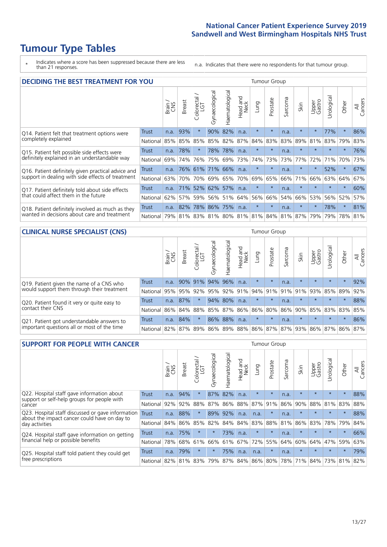\* Indicates where a score has been suppressed because there are less than 21 responses.

n.a. Indicates that there were no respondents for that tumour group.

| <b>DECIDING THE BEST TREATMENT FOR YOU</b>         |              |       |               |                       |                |                   |                        |         | <b>Tumour Group</b> |                                     |         |                 |            |         |                |
|----------------------------------------------------|--------------|-------|---------------|-----------------------|----------------|-------------------|------------------------|---------|---------------------|-------------------------------------|---------|-----------------|------------|---------|----------------|
|                                                    |              | Brain | <b>Breast</b> | olorectal<br>LGT<br>Ũ | Gynaecological | ematological<br>Ě | ad and<br>Neck<br>Head | Lung    | Prostate            | Sarcoma                             | Skin    | Upper<br>Gastro | Jrological | Other   | All<br>Cancers |
| Q14. Patient felt that treatment options were      | <b>Trust</b> | n.a.  | 93%           | $\star$               |                | 90% 82%           | n.a.                   | $\star$ | $\star$             | n.a.                                | $\ast$  | $\star$         | 77%        | $\star$ | 86%            |
| completely explained                               | National     | 85%   | 85%           | 85%                   |                | 85% 82%           | 87%                    | 84%     | 83%                 | 83%                                 | 89%     | 81%             | 83%        | 79%     | 83%            |
| Q15. Patient felt possible side effects were       | Trust        | n.a.  | 78%           |                       |                | 78% 78%           | n.a.                   | $\star$ | $\star$             | n.a.                                | $\star$ | $\star$         | $\star$    | $\star$ | 76%            |
| definitely explained in an understandable way      | National     | 69%   | 74%           | 76%                   | 75%            | 69%               | 73%                    | 74%     | 73%                 | 73%                                 | 77%     | 72%             | 71%        | 70%     | 73%            |
| Q16. Patient definitely given practical advice and | Trust        | n.a.  |               | 76% 61%               |                | 71% 66%           | n.a.                   | $\star$ | $\star$             | n.a.                                |         | $\star$         | 52%        | $\star$ | 67%            |
| support in dealing with side effects of treatment  | National     | 63%   | 70%           | 70%                   | 69%            | 65%               | 70%                    | 69%     | 65%                 | 66%                                 | 71%     | 66%             | 63%        | 64%     | 67%            |
| Q17. Patient definitely told about side effects    | Trust        | n.a.  | <b>71%</b>    | 52%                   |                | 62% 57%           | n.a.                   | $\star$ | $\star$             | n.a.                                | $\star$ | $\star$         | $\star$    | $\star$ | 60%            |
| that could affect them in the future               | National     | 62%   | 57%           | 59%                   |                | 56% 51%           | 64%                    | 56%     | 66%                 | 54%                                 | 66%     | 53%             | 56%        | 52%     | 57%            |
| Q18. Patient definitely involved as much as they   | Trust        | n.a.  | 82%           |                       | 78% 86% 75%    |                   | n.a.                   | $\star$ | $\star$             | n.a.                                | $\ast$  | $\star$         | 78%        | $\ast$  | 81%            |
| wanted in decisions about care and treatment       | National I   | 79%   |               |                       |                |                   |                        |         |                     | 81% 83% 81% 80% 81% 81% 84% 81% 87% |         | 79%             | 79%        | 78% 81% |                |

#### **CLINICAL NURSE SPECIALIST (CNS)** Tumour Group

|                                             |              | Brain | Breast | Colorectal<br>LGT | ᢛ<br>Gynaecologic | Haematological | Head and<br>Neck            | Lung    | Prostate | Sarcoma | Skin    | Upper<br>Gastro | rological       | Other    | All<br>Cancers |
|---------------------------------------------|--------------|-------|--------|-------------------|-------------------|----------------|-----------------------------|---------|----------|---------|---------|-----------------|-----------------|----------|----------------|
| Q19. Patient given the name of a CNS who    | <b>Trust</b> | n.a.  |        | 90% 91%           |                   | 94% 96%        | n.a.                        | $\star$ | $\star$  | n.a.    |         | $\star$         | $\star$         | $\star$  | 92%            |
| would support them through their treatment  | National     | 95%   | 95%    | 92%               | 95%               |                | $ 92\% 91\% $               | 94% 91% |          | 91%     | 91%     | 93%             | 85%             | 89%      | 92%            |
| Q20. Patient found it very or quite easy to | Trust        | n.a.  | 87%    |                   |                   | 94% 80%        | n.a.                        | $\star$ | $\star$  | n.a.    |         | $\star$         | $\star$         | $\star$  | 88%            |
| contact their CNS                           | National     | 86%   | 84%    | 88%               |                   |                | 85% 87% 86% 86% 80%         |         |          |         | 86% 90% | 85%             | 83% 83% 85%     |          |                |
| Q21. Patient got understandable answers to  | Trust        | n.a.  | 84%    |                   |                   | 86% 88%        | n.a.                        | $\star$ | $\star$  | n.a.    | $\star$ | $\star$         | $\star$         | $^\star$ | 86%            |
| important questions all or most of the time | National     | 82%   | 87%    | 89%               |                   |                | 86% 89% 88% 86% 87% 87% 93% |         |          |         |         |                 | 86% 87% 86% 87% |          |                |

| <b>SUPPORT FOR PEOPLE WITH CANCER</b>                                                             |              |       |               |            |                |                |                         |                 | <b>Tumour Group</b> |         |         |                 |            |         |                |
|---------------------------------------------------------------------------------------------------|--------------|-------|---------------|------------|----------------|----------------|-------------------------|-----------------|---------------------|---------|---------|-----------------|------------|---------|----------------|
|                                                                                                   |              | Brain | <b>Breast</b> | Colorectal | Gynaecological | Haematological | ead and<br>Neck<br>Head | Lung            | Prostate            | Sarcoma | Skin    | Upper<br>Gastro | Jrological | Other   | All<br>Cancers |
| Q22. Hospital staff gave information about<br>support or self-help groups for people with         | Trust        | n.a.  | 94%           |            | 87%            | 82%            | n.a.                    | $\star$         | $\star$             | n.a.    | $\star$ | $\star$         | $\star$    | $\star$ | 88%            |
| cancer                                                                                            | National     | 92%   | 92%           | 88%        | 87%            | 86%            | 88%                     | 87%             | 91%                 | 86%     | 90%     | 88%             | 81%        | 83%     | 88%            |
| Q23. Hospital staff discussed or gave information<br>about the impact cancer could have on day to | <b>Trust</b> | n.a.  | 88%           | $\star$    | 89%            | 92%            | n.a.                    | n.a.            | $\star$             | n.a.    | $\star$ | $\star$         | $\star$    | $\star$ | 88%            |
| day activities                                                                                    | National     | 84%   | 86%           | 85%        | 82%            | 84%            | 84%                     | 83%             | 88%                 | 81%     | 86%     | 83%             | 78%        | 79%     | 84%            |
| Q24. Hospital staff gave information on getting                                                   | Trust        | n.a.  | 75%           | $\star$    | $\star$        | 73%            | n.a.                    | $\star$         | $\star$             | n.a.    | $\star$ | $\star$         | $\star$    | $\ast$  | 66%            |
| financial help or possible benefits                                                               | National     | 78%   | 68%           | 61%        | 66%            | 61%            | 67%                     | 72%             | 55%                 | 64%     | 60%     | 64%             | 47%        | 59%     | 63%            |
| Q25. Hospital staff told patient they could get                                                   | Trust        | n.a.  | 79%           | $\star$    | $\star$        | 75%            | n.a.                    | n.a.            | $\star$             | n.a.    | $\star$ | $\star$         | $\star$    | $\ast$  | 79%            |
| free prescriptions                                                                                | National     | 82%   | 81%           | 83%        | 79%            |                |                         | 87% 84% 86% 80% |                     | 78%     | 71%     | 84%             | 73%        | 81%     | 82%            |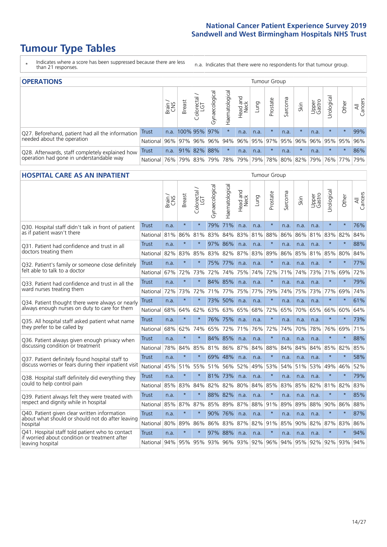- \* Indicates where a score has been suppressed because there are less than 21 responses.
- n.a. Indicates that there were no respondents for that tumour group.

| <b>OPERATIONS</b>                                |              |       |                   |                   |                |                |                  |      | Tumour Group |         |         |                 |                                  |                             |                |
|--------------------------------------------------|--------------|-------|-------------------|-------------------|----------------|----------------|------------------|------|--------------|---------|---------|-----------------|----------------------------------|-----------------------------|----------------|
|                                                  |              | Brain | <b>Breast</b>     | Colorectal<br>LGT | Gynaecological | Haematological | Head and<br>Neck | Lung | Prostate     | Sarcoma | Skin    | Upper<br>Gastro | $\overline{\sigma}$<br>Jrologica | Other                       | All<br>Cancers |
| Q27. Beforehand, patient had all the information | <b>Trust</b> |       | n.a. 100% 95% 97% |                   |                |                | n.a.             | n.a. | $\star$      | n.a.    |         | n.a.            | $\star$                          | $\star$                     | 99%            |
| needed about the operation                       | National     | 96%   |                   | 97% 96%           | $ 96\% 94\% $  |                | 96% 95% 97%      |      |              | 95% 96% |         | 96%             |                                  | 95% 95%                     | 96%            |
| Q28. Afterwards, staff completely explained how  | <b>Trust</b> | n.a.  |                   | 91% 82% 88%       |                | $\star$        | n.a.             | n.a. | $\star$      | n.a.    | $\star$ | n.a.            | $\star$                          | $\star$                     | 86%            |
| operation had gone in understandable way         | National I   | 76%   |                   | 79% 83%           |                |                | 79%   78%   79%  |      |              |         |         |                 |                                  | 79% 78% 80% 82% 79% 76% 77% | 79%            |

#### **HOSPITAL CARE AS AN INPATIENT** Tumour Group

|                                                                                                  |              | Brain | <b>Breast</b> | Colorectal /<br>LGT | Gynaecological | Haematological | Head and<br>Neck | Lung | Prostate | Sarcoma | Skin | Upper<br>Gastro | Urological | Other   | Cancers<br>$\overline{\overline{A}}$ |
|--------------------------------------------------------------------------------------------------|--------------|-------|---------------|---------------------|----------------|----------------|------------------|------|----------|---------|------|-----------------|------------|---------|--------------------------------------|
| Q30. Hospital staff didn't talk in front of patient                                              | Trust        | n.a.  | $\star$       | $\star$             | 79%            | 71%            | n.a.             | n.a. | $\star$  | n.a.    | n.a. | n.a.            | $\star$    | $\star$ | 76%                                  |
| as if patient wasn't there                                                                       | National     | 81%   | 86%           | 81%                 | 83%            | 84%            | 83%              | 81%  | 88%      | 86%     | 86%  | 81%             | 83%        | 82%     | 84%                                  |
| 031. Patient had confidence and trust in all                                                     | Trust        | n.a.  | $\star$       | $\star$             |                | 97% 86%        | n.a.             | n.a. | $\star$  | n.a.    | n.a. | n.a.            | $\star$    | $\star$ | 88%                                  |
| doctors treating them                                                                            | National     | 82%   | 83%           | 85%                 | 83%            | 82%            | 87%              | 83%  | 89%      | 86%     | 85%  | 81%             | 85%        | 80%     | 84%                                  |
| Q32. Patient's family or someone close definitely                                                | Trust        | n.a.  | $\star$       | $\star$             | 75%            | 77%            | n.a.             | n.a. | $\star$  | n.a.    | n.a. | n.a.            | $\star$    | $\star$ | 77%                                  |
| felt able to talk to a doctor                                                                    | National     | 67%   | 72%           | 73%                 | 72%            | 74%            | 75%              | 74%  | 72%      | 71%     | 74%  | 73%             | 71%        | 69%     | 72%                                  |
| Q33. Patient had confidence and trust in all the                                                 | <b>Trust</b> | n.a.  | $\star$       | $\star$             |                | 84% 85%        | n.a.             | n.a. | $\star$  | n.a.    | n.a. | n.a.            | $\star$    | $\star$ | 79%                                  |
| ward nurses treating them                                                                        | National     | 72%   | 73%           | 72%                 |                | 71% 77%        | 75%              | 77%  | 79%      | 74%     | 75%  | 73%             | 77%        | 69%     | 74%                                  |
| Q34. Patient thought there were always or nearly                                                 | <b>Trust</b> | n.a.  | $\star$       | $\star$             | 73%            | 50%            | n.a.             | n.a. | $\star$  | n.a.    | n.a. | n.a.            | $\star$    | $\star$ | 61%                                  |
| always enough nurses on duty to care for them                                                    | National     | 68%   | 64%           | 62%                 | 63%            | 63%            | 65%              | 68%  | 72%      | 65%     | 70%  | 65%             | 66%        | 60%     | 64%                                  |
| Q35. All hospital staff asked patient what name                                                  | Trust        | n.a.  | $\star$       | $\star$             |                | 76% 75%        | n.a.             | n.a. | $\star$  | n.a.    | n.a. | n.a.            | $\star$    | $\star$ | 73%                                  |
| they prefer to be called by                                                                      | National     | 68%   | 62%           | 74%                 | 65%            | 72%            | 71%              | 76%  | 72%      | 74%     | 70%  | 78%             | 76%        | 69%     | 71%                                  |
| Q36. Patient always given enough privacy when                                                    | Trust        | n.a.  | $\star$       | $\star$             | 84%            | 85%            | n.a.             | n.a. | $\star$  | n.a.    | n.a. | n.a.            | $\star$    | $\star$ | 88%                                  |
| discussing condition or treatment                                                                | National     | 78%   | 84%           | 85%                 | 81%            | 86% 87% 84%    |                  |      | 88%      | 84%     | 84%  | 84%             | 85%        | 82%     | 85%                                  |
| Q37. Patient definitely found hospital staff to                                                  | <b>Trust</b> | n.a.  | $\star$       | $\star$             |                | 69% 48%        | n.a.             | n.a. | $\star$  | n.a.    | n.a. | n.a.            | $\star$    | $\star$ | 58%                                  |
| discuss worries or fears during their inpatient visit                                            | National     | 45%   | 51% 55%       |                     | 51%            | 56%            | 52%              | 49%  | 53%      | 54%     | 51%  | 53%             | 49%        | 46%     | 52%                                  |
| Q38. Hospital staff definitely did everything they                                               | <b>Trust</b> | n.a.  | $\star$       | $\star$             | 81%            | 73%            | n.a.             | n.a. | $\star$  | n.a.    | n.a. | n.a.            | $\star$    | $\star$ | 79%                                  |
| could to help control pain                                                                       | National     | 85%   | 83%           | 84%                 | 82%            | 82%            | 80%              | 84%  | 85%      | 83%     | 85%  | 82%             | 81%        | 82%     | 83%                                  |
| Q39. Patient always felt they were treated with                                                  | Trust        | n.a.  | $\star$       | $\star$             |                | 88% 82%        | n.a.             | n.a. | $\star$  | n.a.    | n.a. | n.a.            | $\star$    | $\star$ | 85%                                  |
| respect and dignity while in hospital                                                            | National     | 85%   | 87%           | 87%                 |                | 85% 89%        | 87%              | 88%  | 91%      | 89%     | 89%  | 88%             | 90%        | 86%     | 88%                                  |
| Q40. Patient given clear written information<br>about what should or should not do after leaving | Trust        | n.a.  | $\star$       | $\star$             | 90%            | 76%            | n.a.             | n.a. | $\star$  | n.a.    | n.a. | n.a.            | $\star$    | $\star$ | 87%                                  |
| hospital                                                                                         | National     | 80%   | 89%           | 86%                 | 86%            | 83%            | 87%              | 82%  | 91%      | 85%     | 90%  | 82%             | 87%        | 83%     | 86%                                  |
| Q41. Hospital staff told patient who to contact<br>if worried about condition or treatment after | <b>Trust</b> | n.a.  | $\star$       | $\star$             |                | 97% 88%        | n.a.             | n.a. | $\star$  | n.a.    | n.a. | n.a.            | $\star$    | $\star$ | 94%                                  |
| leaving hospital                                                                                 | National I   | 94%   |               | 95% 95%             | 93%            | 96% 93% 92%    |                  |      | 96%      | 94%     |      | 95% 92%         | 92%        | 93%     | 94%                                  |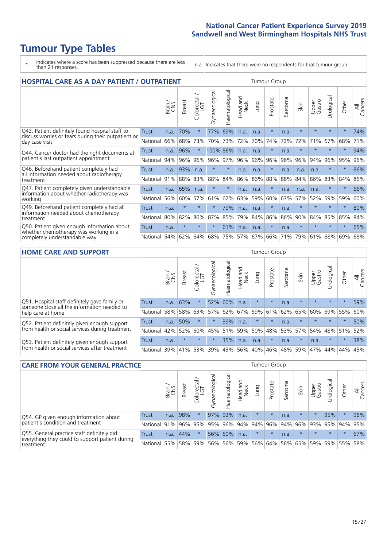- \* Indicates where a score has been suppressed because there are less than 21 responses.
- n.a. Indicates that there were no respondents for that tumour group.

| <b>HOSPITAL CARE AS A DAY PATIENT / OUTPATIENT</b>                                                                    |              |       |               |                            |                |                |                                |         | <b>Tumour Group</b> |         |         |                 |            |         |                |  |  |  |  |  |  |  |  |
|-----------------------------------------------------------------------------------------------------------------------|--------------|-------|---------------|----------------------------|----------------|----------------|--------------------------------|---------|---------------------|---------|---------|-----------------|------------|---------|----------------|--|--|--|--|--|--|--|--|
|                                                                                                                       |              | Brain | <b>Breast</b> | ∽<br>olorectal<br>LGT<br>Ũ | Gynaecological | Haematological | <b>Bad and</b><br>Neck<br>Head | Lung    | Prostate            | Sarcoma | Skin    | Upper<br>Gastro | Urological | Other   | All<br>Cancers |  |  |  |  |  |  |  |  |
| Q43. Patient definitely found hospital staff to                                                                       | <b>Trust</b> | n.a.  | 70%           |                            | 77%            | 69%            | n.a.                           | n.a.    | $\star$             | n.a.    | $\star$ | $\star$         | $\star$    | $\star$ | 74%            |  |  |  |  |  |  |  |  |
| discuss worries or fears during their outpatient or<br>day case visit                                                 | National     | 66%   | 68%           | 73%                        | 70%            | 73%            | 72%                            | 70%     | 74%                 | 72%     | 72%     | 71%             | 67%        | 68%     | 71%            |  |  |  |  |  |  |  |  |
| Q44. Cancer doctor had the right documents at<br>patient's last outpatient appointment                                | Trust        | n.a.  | 96%           |                            | 100% 86%       |                | n.a.                           | n.a.    | $\star$             | n.a.    |         |                 | $\star$    | $\star$ | 94%            |  |  |  |  |  |  |  |  |
|                                                                                                                       | National     | 94%   | 96%           | 96%                        | 96%            | 97%            | 96%                            | 96%     | 96%                 | 96%     | 96%     | 94%             | 96%        | 95%     | 96%            |  |  |  |  |  |  |  |  |
| Q46. Beforehand patient completely had                                                                                | Trust        | n.a.  | 93%           | n.a.                       | $\star$        | $\star$        | n.a.                           | n.a.    | $\star$             | n.a.    | n.a.    | n.a.            | $\star$    | $\star$ | 86%            |  |  |  |  |  |  |  |  |
| all information needed about radiotherapy<br>treatment                                                                | National     | 91%   | 88%           | 83%                        | 88%            | 84%            | 86%                            | 86%     | 88%                 | 88%     | 84%     | 86%             | 83%        | 84%     | 86%            |  |  |  |  |  |  |  |  |
| Q47. Patient completely given understandable<br>information about whether radiotherapy was<br>working                 | Trust        | n.a.  | 65%           | n.a.                       | $\star$        | $\star$        | n.a.                           | n.a.    | $\star$             | n.a.    | n.a.    | n.a.            | $\star$    | $\star$ | 66%            |  |  |  |  |  |  |  |  |
|                                                                                                                       | National     | 56%   | 60%           | 57%                        | 61%            | 62%            | 63%                            | 59%     | 60%                 | 67%     | 57%     | 52%             | 59%        | 59%     | 60%            |  |  |  |  |  |  |  |  |
| Q49. Beforehand patient completely had all                                                                            | <b>Trust</b> | n.a.  | $\ast$        | $\star$                    | $\star$        | 79%            | n.a.                           | n.a.    | $\star$             | n.a.    | $\star$ | $\star$         | $\star$    | $\star$ | 80%            |  |  |  |  |  |  |  |  |
| information needed about chemotherapy<br>treatment                                                                    | National     | 80%   | 82%           | 86%                        | 87%            | 85%            | 79%                            | 84%     | 86%                 | 86%     | 90%     | 84%             | 85%        | 85%     | 84%            |  |  |  |  |  |  |  |  |
| Q50. Patient given enough information about<br>whether chemotherapy was working in a<br>completely understandable way | Trust        | n.a.  | $\star$       |                            |                | 61%            | n.a.                           | n.a.    | $\star$             | n.a.    | $\star$ | $\star$         |            | $\star$ | 65%            |  |  |  |  |  |  |  |  |
|                                                                                                                       | National     | 54%   | 62%           | 64%                        | 68%            | 75%            |                                | 57% 67% | 66%                 | 71%     | 79%     | 61%             | 68%        | 69%     | 68%            |  |  |  |  |  |  |  |  |

#### **HOME CARE AND SUPPORT** Tumour Group

|                                                                                                                   |              | Brain | <b>Breast</b> | olorectal<br>LGT<br>Ü | त्त<br>Gynaecologic | Haematological | ad and<br>Neck<br>Head | <b>Dung</b> | Prostate | Sarcoma | Skin    | Upper<br>Gastro | Urological  | Other   | All<br>Cancers |
|-------------------------------------------------------------------------------------------------------------------|--------------|-------|---------------|-----------------------|---------------------|----------------|------------------------|-------------|----------|---------|---------|-----------------|-------------|---------|----------------|
| Q51. Hospital staff definitely gave family or<br>someone close all the information needed to<br>help care at home | <b>Trust</b> | n.a.  | 63%           |                       |                     | 52% 60%        | n.a.                   | $\star$     | $\star$  | n.a.    | $\star$ | $\star$         | $\star$     | $\star$ | 59%            |
|                                                                                                                   | National     | 58%   | 58%           | 63%                   | 57%                 |                | 62% 67%                | 59%         | 61%      | 62%     | 65%     | 60%             | 59%         | 55%     | 60%            |
| Q52. Patient definitely given enough support<br>from health or social services during treatment                   | Trust        | n.a.  | 50%           |                       | $\star$             | 39%            | n.a.                   | $\star$     | $\star$  | n.a.    | $\star$ | $\star$         | $\star$     | $\star$ | 50%            |
|                                                                                                                   | National     | 42%   | 52%           | 60%                   |                     | 45% 51%        | 59%                    | 50%         | 48%      |         | 53% 57% |                 | 54% 48% 51% |         | 52%            |
| Q53. Patient definitely given enough support<br>from health or social services after treatment                    | Trust        | n.a.  | $\star$       | $\star$               | $\star$             | 35%            | n.a.                   | n.a.        | $\star$  | n.a.    | $\star$ | n.a.            | $\star$     | $\star$ | 38%            |
|                                                                                                                   | National     | 39%   | 41%           | 53%                   | 39%                 | 43%            | 56%                    | 40%         | 46%      | 48%     | 59%     | 47%             | 44%         | 44%     | 45%            |

| <b>CARE FROM YOUR GENERAL PRACTICE</b>                                                                     |              |        |               |                   |                |                |                  |         | Tumour Group    |         |         |                 |                     |         |                |  |  |  |  |  |  |
|------------------------------------------------------------------------------------------------------------|--------------|--------|---------------|-------------------|----------------|----------------|------------------|---------|-----------------|---------|---------|-----------------|---------------------|---------|----------------|--|--|--|--|--|--|
|                                                                                                            |              | Brain, | <b>Breast</b> | Colorectal<br>LGT | Gynaecological | Haematological | Head and<br>Neck | Lung    | Prostate        | Sarcoma | Skin    | Upper<br>Gastro | Urologica           | Other   | All<br>Cancers |  |  |  |  |  |  |
| Q54. GP given enough information about<br>patient's condition and treatment                                | Trust        | n.a.   | 98%           |                   |                | 97% 93%        | n.a.             | $\star$ | $\star$         | n.a.    | $\star$ | $\star$         | 95%                 | $\star$ | 96%            |  |  |  |  |  |  |
|                                                                                                            | National 91% |        |               | 96% 95%           | 95%            |                |                  |         | 96% 94% 94% 96% |         |         |                 | 94% 96% 93% 95% 94% |         | 95%            |  |  |  |  |  |  |
| Q55. General practice staff definitely did<br>everything they could to support patient during<br>treatment | Trust        | n.a.   | 44%           | $\star$           |                | 56% 50%        | n.a.             | $\star$ | $\star$         | n.a.    | $\star$ | $\star$         | $\star$             | $\star$ | 57%            |  |  |  |  |  |  |
|                                                                                                            | National     | 55%    |               | 58% 59%           | 56%            |                | 56% 59%          |         | 56% 64%         |         |         |                 | 56% 65% 59% 59% 55% |         | 58%            |  |  |  |  |  |  |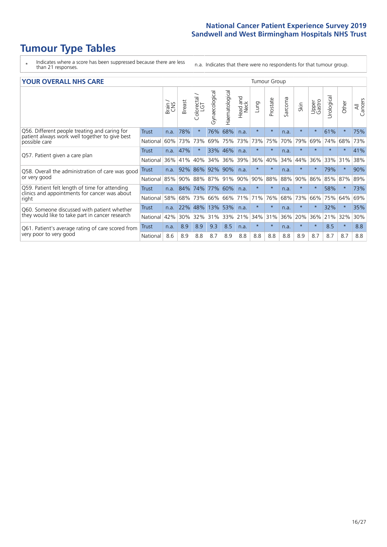- \* Indicates where a score has been suppressed because there are less than 21 responses.
- n.a. Indicates that there were no respondents for that tumour group.

#### **YOUR OVERALL NHS CARE** THE CONSTRUCTION OF THE THROUP GROUP TUMOUR GROUP

| I YUN YENAEL NI IYOANE                                                                                   |              |       |               |                            |                |                | iamoar oroap            |         |          |         |         |                 |               |         |                |  |  |  |
|----------------------------------------------------------------------------------------------------------|--------------|-------|---------------|----------------------------|----------------|----------------|-------------------------|---------|----------|---------|---------|-----------------|---------------|---------|----------------|--|--|--|
|                                                                                                          |              | Brain | <b>Breast</b> | ∽<br>olorectal<br>LGT<br>Ũ | Gynaecological | Haematological | aad and<br>Neck<br>Head | Lung    | Prostate | Sarcoma | Skin    | Upper<br>Gastro | ී<br>Urologic | Other   | All<br>Cancers |  |  |  |
| Q56. Different people treating and caring for                                                            | <b>Trust</b> | n.a.  | 78%           | $\star$                    | 76%            | 68%            | n.a.                    | $\star$ | $\star$  | n.a.    | $\star$ | $\star$         | 61%           | $\star$ | 75%            |  |  |  |
| patient always work well together to give best<br>possible care                                          | National     | 60%   | 73%           | 73%                        | 69%            | 75%            | 73%                     | 73%     | 75%      | 70%     | 79%     | 69%             | 74%           | 68%     | 73%            |  |  |  |
| Q57. Patient given a care plan                                                                           | <b>Trust</b> | n.a.  | 47%           | $\star$                    |                | 33% 46%        | n.a.                    | $\star$ | $\star$  | n.a.    | $\star$ |                 |               | $\star$ | 41%            |  |  |  |
|                                                                                                          | National     | 36%   | 41%           | 40%                        | 34%            | 36%            | 39%                     | 36%     | 40%      | 34%     | 44%     | 36%             | 33%           | 31%     | 38%            |  |  |  |
| Q58. Overall the administration of care was good<br>or very good                                         | <b>Trust</b> | n.a.  | 92%           | 86%                        | 92% 90%        |                | n.a.                    | $\star$ | $\star$  | n.a.    | $\star$ |                 | 79%           | $\ast$  | 90%            |  |  |  |
|                                                                                                          | National     | 85%   | 90%           | 88%                        | 87%            | 91% 90%        |                         | 90%     | 88%      | 88%     | 90%     | 86%             | 85%           | 87%     | 89%            |  |  |  |
| Q59. Patient felt length of time for attending<br>clinics and appointments for cancer was about<br>right | <b>Trust</b> | n.a.  | 84%           | 74%                        | 77% 60%        |                | n.a.                    | $\star$ | $\star$  | n.a.    | $\star$ | $\star$         | 58%           | $\ast$  | 73%            |  |  |  |
|                                                                                                          | National     | 58%   | 68%           | 73%                        | 66%            |                | 66% 71%                 | 71%     | 76%      | 68%     | 73%     | 66%             | 75%           | 64%     | 69%            |  |  |  |
| Q60. Someone discussed with patient whether                                                              | Trust        | n.a.  | 22%           | 48%                        | 13%            | 53%            | n.a.                    | $\star$ | $\star$  | n.a.    |         |                 | 32%           | $\star$ | 35%            |  |  |  |
| they would like to take part in cancer research                                                          | National     | 42%   | 30%           | 32%                        | 31%            |                | 33% 21%                 | 34%     | 31%      | 36%     | 20%     | 36%             | 21%           | 32%     | 30%            |  |  |  |
| Q61. Patient's average rating of care scored from<br>very poor to very good                              | Trust        | n.a.  | 8.9           | 8.9                        | 9.3            | 8.5            | n.a.                    | $\star$ | $\star$  | n.a.    | $\star$ | $\star$         | 8.5           | $\star$ | 8.8            |  |  |  |
|                                                                                                          | National     | 8.6   | 8.9           | 8.8                        | 8.7            | 8.9            | 8.8                     | 8.8     | 8.8      | 8.8     | 8.9     | 8.7             | 8.7           | 8.7     | 8.8            |  |  |  |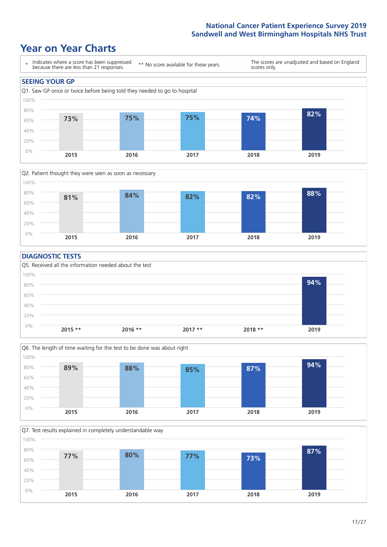### **Year on Year Charts**





#### **DIAGNOSTIC TESTS**





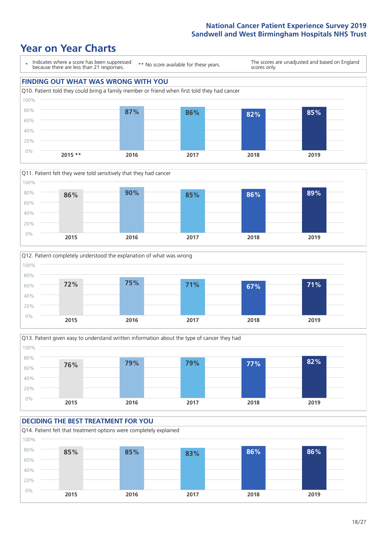







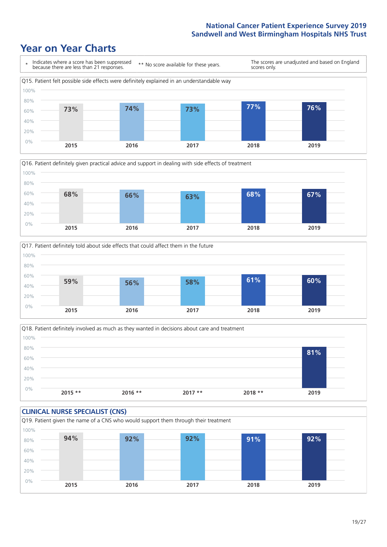





Q18. Patient definitely involved as much as they wanted in decisions about care and treatment  $0%$ 20% 40% 60% 80% 100% **2015 \*\* 2016 \*\* 2017 \*\* 2018 \*\* 2019 81%**

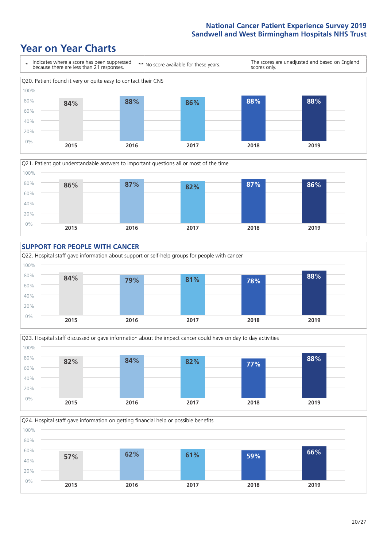









Q24. Hospital staff gave information on getting financial help or possible benefits

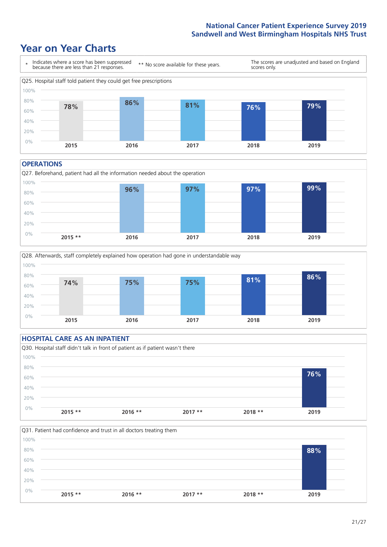### **Year on Year Charts**



#### **OPERATIONS**





#### **HOSPITAL CARE AS AN INPATIENT** Q30. Hospital staff didn't talk in front of patient as if patient wasn't there 0% 20% 40% 60% 80% 100% **2015 \*\* 2016 \*\* 2017 \*\* 2018 \*\* 2019 76%**

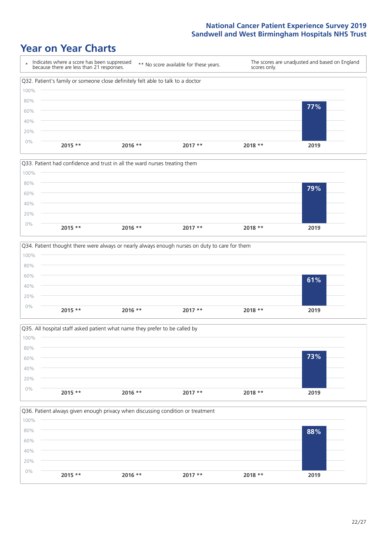







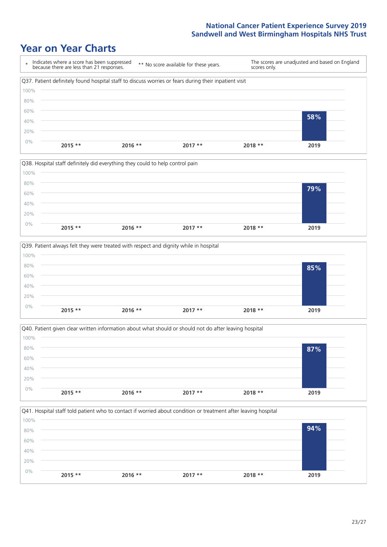







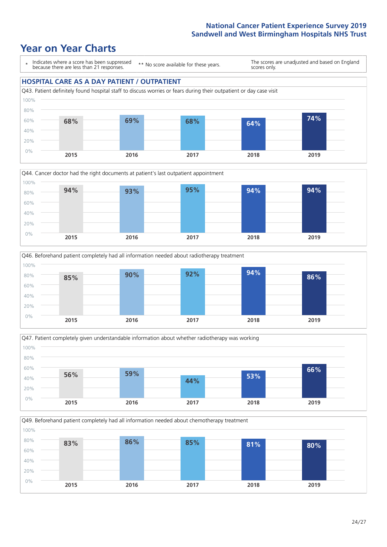### **Year on Year Charts**

\* Indicates where a score has been suppressed because there are less than 21 responses.

\*\* No score available for these years.

The scores are unadjusted and based on England scores only.

#### **HOSPITAL CARE AS A DAY PATIENT / OUTPATIENT**









Q49. Beforehand patient completely had all information needed about chemotherapy treatment 0% 20% 40% 60% 80% 100% **83% 86% 85% 81% 80%**

**2015 2016 2017 2018 2019**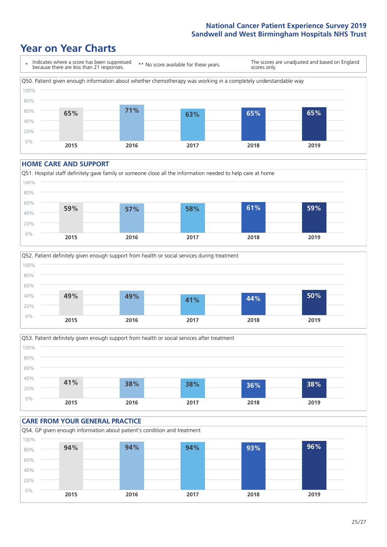### **Year on Year Charts**



#### **HOME CARE AND SUPPORT**







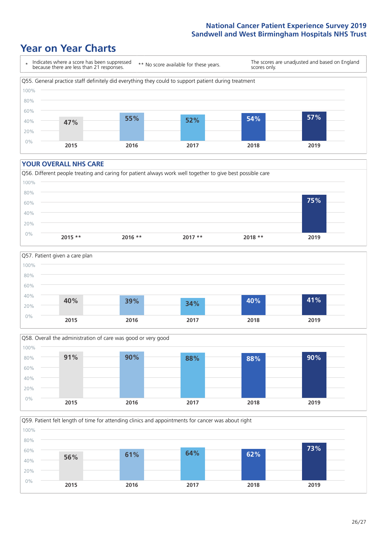### **Year on Year Charts**



#### **YOUR OVERALL NHS CARE**







Q59. Patient felt length of time for attending clinics and appointments for cancer was about right